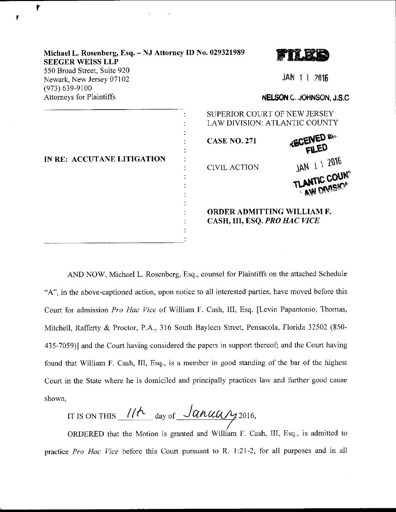| Michael L. Rosenberg, Esq. - NJ Attorney ID No. 029321989<br><b>SEEGER WEISS LLP</b><br>550 Broad Street, Suite 920 |                                                                          |                                             |  |
|---------------------------------------------------------------------------------------------------------------------|--------------------------------------------------------------------------|---------------------------------------------|--|
| Newark, New Jersey 07102<br>$(973) 639 - 9100$<br><b>Attorneys for Plaintiffs</b>                                   |                                                                          | $JAN$ 1 1 2016<br>NELSON C. JOHNSON, J.S.C. |  |
| IN RE: ACCUTANE LITIGATION                                                                                          | SUPERIOR COURT OF NEW JERSEY<br>LAW DIVISION: ATLANTIC COUNTY            |                                             |  |
|                                                                                                                     | <b>CASE NO. 271</b>                                                      | <b>ECENED &amp;</b>                         |  |
|                                                                                                                     | <b>CIVIL ACTION</b>                                                      | JAN 1 1 2016                                |  |
|                                                                                                                     |                                                                          | TLANTIC COUNT<br><b>AW DIVISION</b>         |  |
|                                                                                                                     | <b>ORDER ADMITTING WILLIAM F.</b><br>CASH, III, ESQ. <i>PRO HAC VICE</i> |                                             |  |

۲

AND NOW, Michael L. Rosenberg, Esq., counsel for Plaintiffs on the attached Schedule "A", in the above-captioned action, upon notice to all interested parties, have moved before this Court for admission Pro Hac Vice of William F. Cash, III, Esq. [Levin Papantonio, Thomas, Mitchell, Rafferty & Proctor, P.A., 316 South Bayleen Street, Pensacola, Florida 32502 (850- 435-7059)l and the Court having considered the papers in support thereof; and the Coun having found that William F. Cash, III, Esq., is a member in good standing of the bar of the highest Court in the State where he is domiciled and principally practices law and further good cause shown,

IT IS ON THIS  $1/\hbar$  day of  $\frac{\int$  anual 12016,

ORDERED that the Motion is granted and William F. Cash, III, Esq., is admitted to practice Pro Hac Vice before this Court pursuant to R. 1:21-2, for all purposes and in all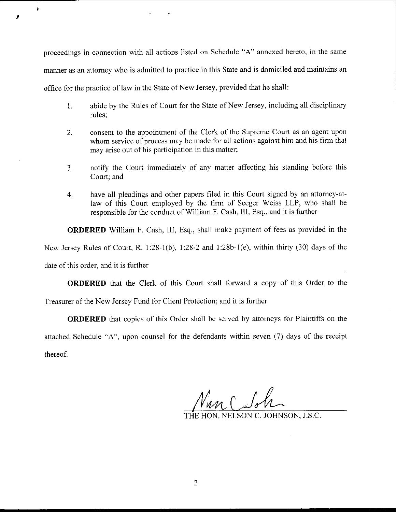proceedings in connection with all actions listed on Schedule "A" annexed hereto, in the same manner as an attomey who is admitted to practice in this State and is domiciled and maintains an office for the practice of law in the State of New Jersey, provided that he shall:

- 1. abide by the Rules of Court for the State of New Jersey, including all disciplinary rules;
- 2. consent to the appointment of the Clerk of the Supreme Court as an agent upon whom service of process may be made for all actions against him and his firm that may arise out of his participation in this matter;
- 3. notify the Court immediately of any matter affecting his standing before this Court; and
- 4. have all pleadings and other papers filed in this Court signed by an attorney-atlaw of this Court employed by the firm of Seeger Weiss LLP, who shall be responsible for the conduct of William F. Cash, III, Esq., and it is further

ORDERED William F. Cash, III, Esq., shall make payment of fees as provided in the

New Jersey Rules of Court, R. 1:28-1(b), 1:28-2 and 1:28b-1(e), within thirty (30) days of the

date of this order, and it is further

Ý

ORDERED that the Clerk of this Court shall forward a copy of this Order to the

Treasurer of the New Jersey Fund for Client Protection; and it is further

ORDERED that copies of this Order shall be served by attorneys for Plaintiffs on the attached Schedule "A", upon counsel for the defendants within seven (7) days of the receipt thereof.

m C Sol

TON, NELSON C. JOHNSON, J.S.C.